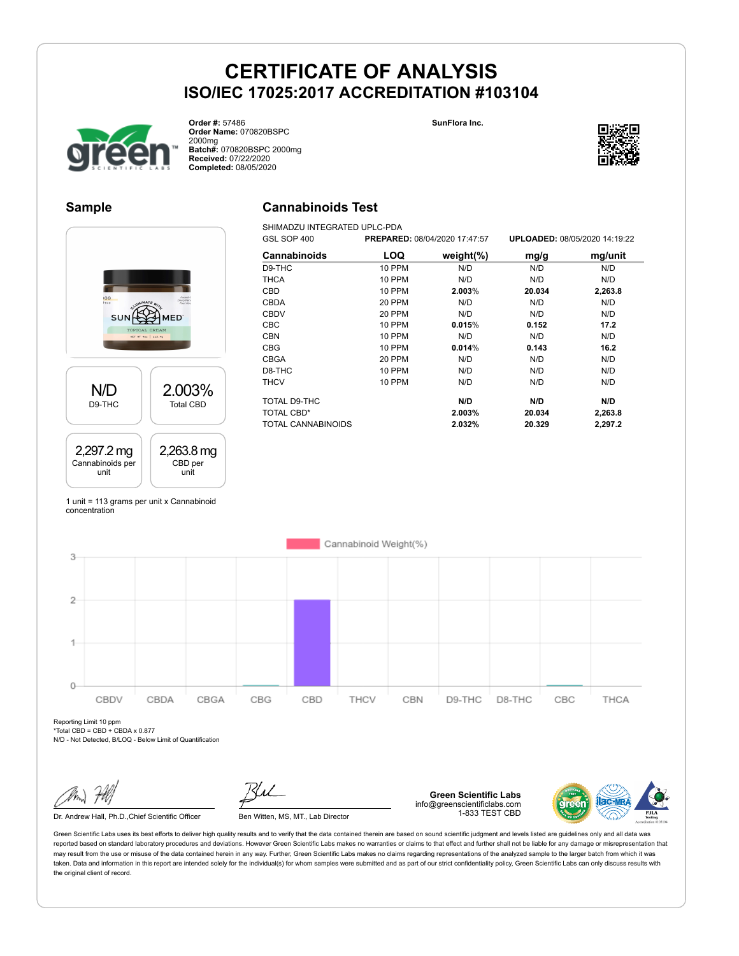



**Order #:** 57486 **Order Name:** 070820BSPC 2000mg **Batch#:** 070820BSPC 2000mg **Received:** 07/22/2020 **Completed:** 08/05/2020

### **Sample**

### **Cannabinoids Test**

SHIMADZU INTEGRATED UPLC-PDA



| GSL SOP 400         |               | PREPARED: 08/04/2020 17:47:57 |        | UPLOADED: 08/05/2020 14:19:22 |
|---------------------|---------------|-------------------------------|--------|-------------------------------|
| <b>Cannabinoids</b> | LOQ           | weight $(\%)$                 | mg/g   | mg/unit                       |
| D9-THC              | <b>10 PPM</b> | N/D                           | N/D    | N/D                           |
| <b>THCA</b>         | 10 PPM        | N/D                           | N/D    | N/D                           |
| CBD                 | <b>10 PPM</b> | 2.003%                        | 20.034 | 2,263.8                       |
| <b>CBDA</b>         | <b>20 PPM</b> | N/D                           | N/D    | N/D                           |
| <b>CBDV</b>         | 20 PPM        | N/D                           | N/D    | N/D                           |
| <b>CBC</b>          | 10 PPM        | 0.015%                        | 0.152  | 17.2                          |
| <b>CBN</b>          | 10 PPM        | N/D                           | N/D    | N/D                           |
| <b>CBG</b>          | <b>10 PPM</b> | 0.014%                        | 0.143  | 16.2                          |
| <b>CBGA</b>         | 20 PPM        | N/D                           | N/D    | N/D                           |
| D8-THC              | 10 PPM        | N/D                           | N/D    | N/D                           |
| <b>THCV</b>         | <b>10 PPM</b> | N/D                           | N/D    | N/D                           |
| TOTAL D9-THC        |               | N/D                           | N/D    | N/D                           |
| <b>TOTAL CBD*</b>   |               | 2.003%                        | 20.034 | 2,263.8                       |
| TOTAL CANNABINOIDS  |               | 2.032%                        | 20.329 | 2,297.2                       |

1 unit = 113 grams per unit x Cannabinoid concentration



Reporting Limit 10 ppm \*Total CBD = CBD + CBDA x 0.877

N/D - Not Detected, B/LOQ - Below Limit of Quantification

Dr. Andrew Hall, Ph.D., Chief Scientific Officer Ben Witten, MS, MT., Lab Director



**Green Scientific Labs** info@greenscientificlabs.com 1-833 TEST CBD



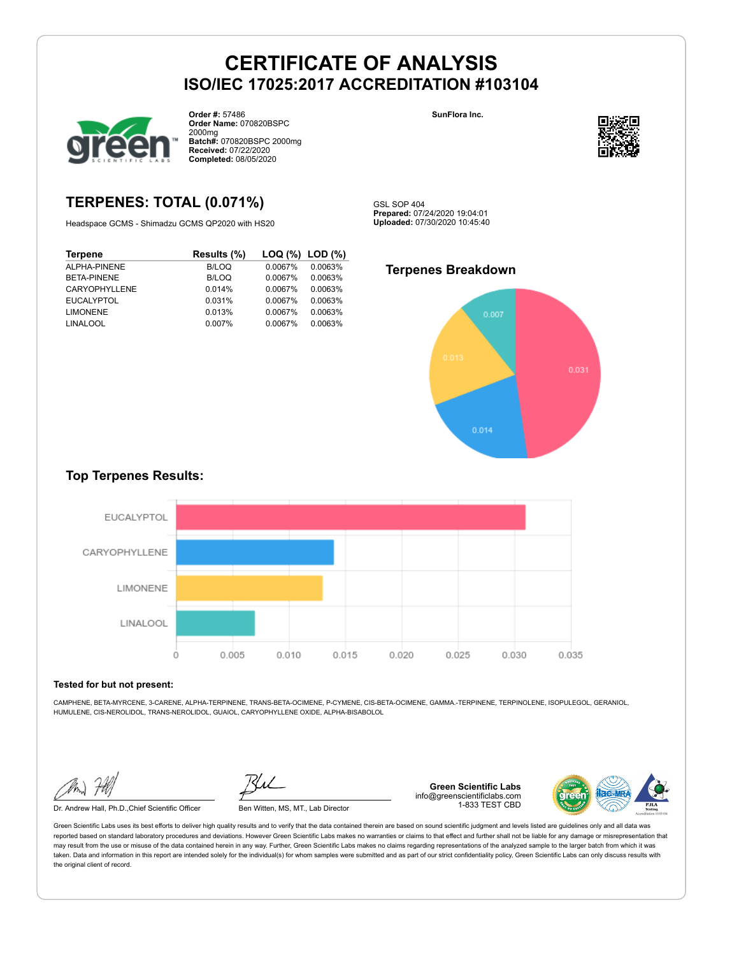

**Order #:** 57486 **Order Name:** 070820BSPC 2000mg **Batch#:** 070820BSPC 2000mg **Received:** 07/22/2020 **Completed:** 08/05/2020

**SunFlora Inc.**



### **TERPENES: TOTAL (0.071%)**

Headspace GCMS - Shimadzu GCMS QP2020 with HS20

| Results (%) |         | LOG (%) LOD (%) |
|-------------|---------|-----------------|
| B/LOQ       | 0.0067% | 0.0063%         |
| B/LOQ       | 0.0067% | 0.0063%         |
| 0.014%      | 0.0067% | 0.0063%         |
| 0.031%      | 0.0067% | 0.0063%         |
| 0.013%      | 0.0067% | 0.0063%         |
| 0.007%      | 0.0067% | 0.0063%         |
|             |         |                 |

GSL SOP 404 **Prepared:** 07/24/2020 19:04:01 **Uploaded:** 07/30/2020 10:45:40

#### **Terpenes Breakdown**



### **Top Terpenes Results:**



#### **Tested for but not present:**

CAMPHENE, BETA-MYRCENE, 3-CARENE, ALPHA-TERPINENE, TRANS-BETA-OCIMENE, P-CYMENE, CIS-BETA-OCIMENE, GAMMA.-TERPINENE, TERPINOLENE, ISOPULEGOL, GERANIOL, HUMULENE, CIS-NEROLIDOL, TRANS-NEROLIDOL, GUAIOL, CARYOPHYLLENE OXIDE, ALPHA-BISABOLOL

Dr. Andrew Hall, Ph.D.,Chief Scientific Officer Ben Witten, MS, MT., Lab Director

**Green Scientific Labs** info@greenscientificlabs.com 1-833 TEST CBD

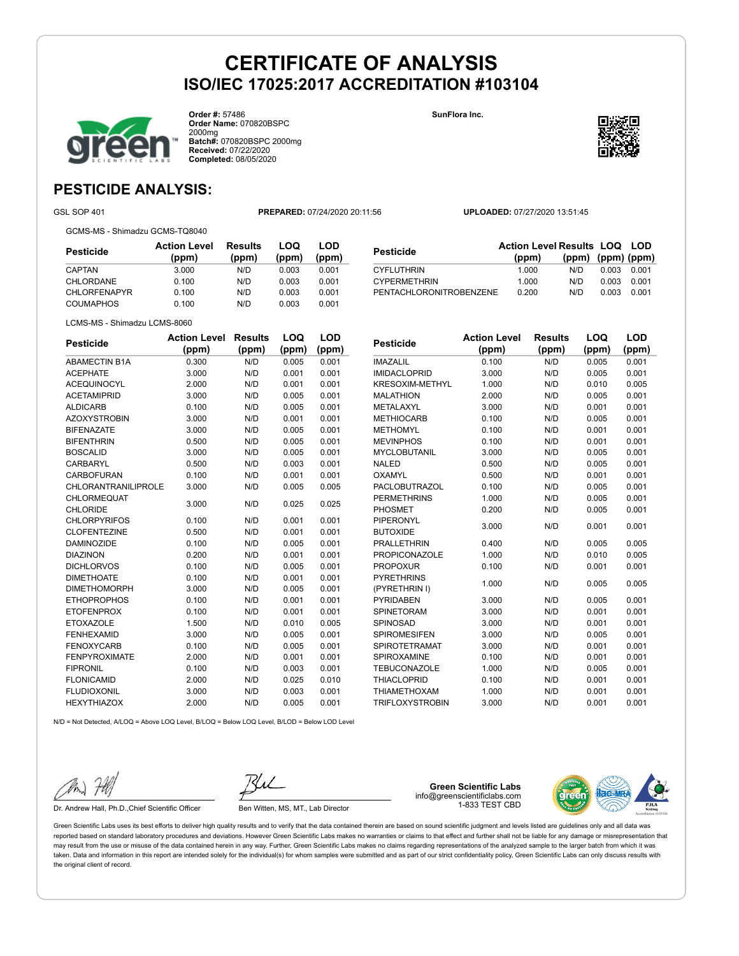

**Order #:** 57486 **Order Name:** 070820BSPC 2000mg **Batch#:** 070820BSPC 2000mg **Received:** 07/22/2020 **Completed:** 08/05/2020

**SunFlora Inc.**



**LOQ**

**LOD**

## **PESTICIDE ANALYSIS:**

GSL SOP 401 **PREPARED:** 07/24/2020 20:11:56 **UPLOADED:** 07/27/2020 13:51:45

GCMS-MS - Shimadzu GCMS-TQ8040

| Pesticide           | <b>Action Level</b><br>(ppm) | Results<br>(ppm) | LOQ<br>(ppm) | LOD<br>(ppm) |
|---------------------|------------------------------|------------------|--------------|--------------|
| CAPTAN              | 3.000                        | N/D              | 0.003        | 0.001        |
| CHLORDANE           | 0.100                        | N/D              | 0.003        | 0.001        |
| <b>CHLORFENAPYR</b> | 0.100                        | N/D              | 0.003        | 0.001        |
| <b>COUMAPHOS</b>    | 0.100                        | N/D              | 0.003        | 0.001        |

| Pesticide               | <b>Action Level Results LOQ LOD</b> |                   |       |       |
|-------------------------|-------------------------------------|-------------------|-------|-------|
|                         | (ppm)                               | (ppm) (ppm) (ppm) |       |       |
| CYFLUTHRIN              | 1.000                               | N/D.              | 0.003 | 0.001 |
| <b>CYPERMETHRIN</b>     | 1.000                               | N/D               | 0.003 | 0.001 |
| PENTACHLORONITROBENZENE | 0.200                               | N/D               | 0.003 | 0.001 |

LCMS-MS - Shimadzu LCMS-8060

| <b>Pesticide</b>     | <b>Action Level</b> | <b>Results</b> | LOQ   | LOD   |
|----------------------|---------------------|----------------|-------|-------|
|                      | (ppm)               | (ppm)          | (ppm) | (ppm) |
| <b>ABAMECTIN B1A</b> | 0.300               | N/D            | 0.005 | 0.001 |
| <b>ACEPHATE</b>      | 3.000               | N/D            | 0.001 | 0.001 |
| <b>ACEQUINOCYL</b>   | 2.000               | N/D            | 0.001 | 0.001 |
| <b>ACETAMIPRID</b>   | 3.000               | N/D            | 0.005 | 0.001 |
| <b>ALDICARB</b>      | 0.100               | N/D            | 0.005 | 0.001 |
| <b>AZOXYSTROBIN</b>  | 3.000               | N/D            | 0.001 | 0.001 |
| <b>BIFENAZATE</b>    | 3.000               | N/D            | 0.005 | 0.001 |
| <b>BIFENTHRIN</b>    | 0.500               | N/D            | 0.005 | 0.001 |
| <b>BOSCALID</b>      | 3.000               | N/D            | 0.005 | 0.001 |
| CARBARYL             | 0.500               | N/D            | 0.003 | 0.001 |
| <b>CARBOFURAN</b>    | 0.100               | N/D            | 0.001 | 0.001 |
| CHLORANTRANILIPROLE  | 3.000               | N/D            | 0.005 | 0.005 |
| <b>CHLORMEQUAT</b>   | 3.000               | N/D            | 0.025 | 0.025 |
| CHLORIDE             |                     |                |       |       |
| <b>CHLORPYRIFOS</b>  | 0.100               | N/D            | 0.001 | 0.001 |
| <b>CLOFENTEZINE</b>  | 0.500               | N/D            | 0.001 | 0.001 |
| <b>DAMINOZIDE</b>    | 0.100               | N/D            | 0.005 | 0.001 |
| <b>DIAZINON</b>      | 0.200               | N/D            | 0.001 | 0.001 |
| <b>DICHLORVOS</b>    | 0.100               | N/D            | 0.005 | 0.001 |
| <b>DIMETHOATE</b>    | 0.100               | N/D            | 0.001 | 0.001 |
| <b>DIMETHOMORPH</b>  | 3.000               | N/D            | 0.005 | 0.001 |
| <b>ETHOPROPHOS</b>   | 0.100               | N/D            | 0.001 | 0.001 |
| <b>ETOFENPROX</b>    | 0.100               | N/D            | 0.001 | 0.001 |
| <b>ETOXAZOLE</b>     | 1.500               | N/D            | 0.010 | 0.005 |
| <b>FENHEXAMID</b>    | 3.000               | N/D            | 0.005 | 0.001 |
| <b>FENOXYCARB</b>    | 0.100               | N/D            | 0.005 | 0.001 |
| <b>FENPYROXIMATE</b> | 2.000               | N/D            | 0.001 | 0.001 |
| <b>FIPRONIL</b>      | 0.100               | N/D            | 0.003 | 0.001 |
| <b>FLONICAMID</b>    | 2.000               | N/D            | 0.025 | 0.010 |
| <b>FLUDIOXONIL</b>   | 3.000               | N/D            | 0.003 | 0.001 |
| <b>HEXYTHIAZOX</b>   | 2.000               | N/D            | 0.005 | 0.001 |

| <b>Pesticide</b>       | <b>Action Level</b> | <b>Results</b> | LOQ   | <b>LOD</b> |
|------------------------|---------------------|----------------|-------|------------|
|                        | (ppm)               | (ppm)          | (ppm) | (ppm)      |
| <b>IMAZALIL</b>        | 0.100               | N/D            | 0.005 | 0.001      |
| <b>IMIDACLOPRID</b>    | 3.000               | N/D            | 0.005 | 0.001      |
| <b>KRESOXIM-METHYL</b> | 1.000               | N/D            | 0.010 | 0.005      |
| <b>MALATHION</b>       | 2.000               | N/D            | 0.005 | 0.001      |
| METALAXYL              | 3.000               | N/D            | 0.001 | 0.001      |
| <b>METHIOCARB</b>      | 0.100               | N/D            | 0.005 | 0.001      |
| <b>METHOMYL</b>        | 0.100               | N/D            | 0.001 | 0.001      |
| <b>MEVINPHOS</b>       | 0.100               | N/D            | 0.001 | 0.001      |
| <b>MYCLOBUTANIL</b>    | 3.000               | N/D            | 0.005 | 0.001      |
| <b>NALED</b>           | 0.500               | N/D            | 0.005 | 0.001      |
| OXAMYL                 | 0.500               | N/D            | 0.001 | 0.001      |
| PACLOBUTRAZOL          | 0.100               | N/D            | 0.005 | 0.001      |
| <b>PERMETHRINS</b>     | 1.000               | N/D            | 0.005 | 0.001      |
| PHOSMET                | 0.200               | N/D            | 0.005 | 0.001      |
| <b>PIPERONYL</b>       |                     |                | 0.001 |            |
| <b>BUTOXIDE</b>        | 3.000               | N/D            |       | 0.001      |
| <b>PRALLETHRIN</b>     | 0.400               | N/D            | 0.005 | 0.005      |
| <b>PROPICONAZOLE</b>   | 1.000               | N/D            | 0.010 | 0.005      |
| <b>PROPOXUR</b>        | 0.100               | N/D            | 0.001 | 0.001      |
| <b>PYRETHRINS</b>      |                     | N/D            | 0.005 | 0.005      |
| (PYRETHRIN I)          | 1.000               |                |       |            |
| <b>PYRIDABEN</b>       | 3.000               | N/D            | 0.005 | 0.001      |
| <b>SPINETORAM</b>      | 3.000               | N/D            | 0.001 | 0.001      |
| <b>SPINOSAD</b>        | 3.000               | N/D            | 0.001 | 0.001      |
| <b>SPIROMESIFEN</b>    | 3.000               | N/D            | 0.005 | 0.001      |
| <b>SPIROTETRAMAT</b>   | 3.000               | N/D            | 0.001 | 0.001      |
| SPIROXAMINE            | 0.100               | N/D            | 0.001 | 0.001      |
| <b>TEBUCONAZOLE</b>    | 1.000               | N/D            | 0.005 | 0.001      |
| <b>THIACLOPRID</b>     | 0.100               | N/D            | 0.001 | 0.001      |
| <b>THIAMETHOXAM</b>    | 1.000               | N/D            | 0.001 | 0.001      |

TRIFLOXYSTROBIN 3.000 N/D 0.001 0.001

 $N/D = N$ ot Detected, A/LOQ = Above LOQ Level, B/LOQ = Below LOQ Level, B/LOD = Below LOD Level

Dr. Andrew Hall, Ph.D., Chief Scientific Officer Ben Witten, MS, MT., Lab Director

**Green Scientific Labs** info@greenscientificlabs.com 1-833 TEST CBD

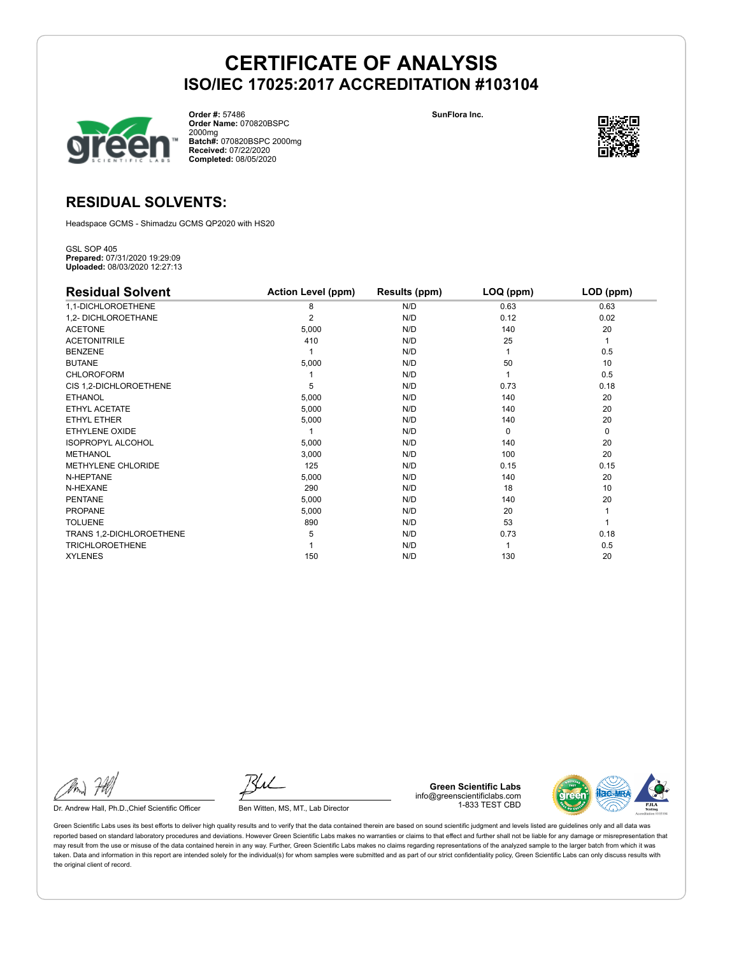

**Order #:** 57486 **Order Name:** 070820BSPC 2000mg **Batch#:** 070820BSPC 2000mg **Received:** 07/22/2020 **Completed:** 08/05/2020

**SunFlora Inc.**



### **RESIDUAL SOLVENTS:**

Headspace GCMS - Shimadzu GCMS QP2020 with HS20

GSL SOP 405 **Prepared:** 07/31/2020 19:29:09 **Uploaded:** 08/03/2020 12:27:13

| <b>Residual Solvent</b>  | <b>Action Level (ppm)</b> | Results (ppm) | $LOQ$ (ppm) | LOD (ppm) |
|--------------------------|---------------------------|---------------|-------------|-----------|
| 1,1-DICHLOROETHENE       | 8                         | N/D           | 0.63        | 0.63      |
| 1,2- DICHLOROETHANE      | $\overline{2}$            | N/D           | 0.12        | 0.02      |
| <b>ACETONE</b>           | 5,000                     | N/D           | 140         | 20        |
| <b>ACETONITRILE</b>      | 410                       | N/D           | 25          | 1         |
| <b>BENZENE</b>           |                           | N/D           |             | 0.5       |
| <b>BUTANE</b>            | 5,000                     | N/D           | 50          | 10        |
| <b>CHLOROFORM</b>        |                           | N/D           |             | 0.5       |
| CIS 1,2-DICHLOROETHENE   | 5                         | N/D           | 0.73        | 0.18      |
| <b>ETHANOL</b>           | 5,000                     | N/D           | 140         | 20        |
| ETHYL ACETATE            | 5,000                     | N/D           | 140         | 20        |
| ETHYL ETHER              | 5,000                     | N/D           | 140         | 20        |
| ETHYLENE OXIDE           |                           | N/D           | $\Omega$    | 0         |
| <b>ISOPROPYL ALCOHOL</b> | 5,000                     | N/D           | 140         | 20        |
| <b>METHANOL</b>          | 3,000                     | N/D           | 100         | 20        |
| METHYLENE CHLORIDE       | 125                       | N/D           | 0.15        | 0.15      |
| N-HEPTANE                | 5,000                     | N/D           | 140         | 20        |
| N-HEXANE                 | 290                       | N/D           | 18          | 10        |
| <b>PENTANE</b>           | 5,000                     | N/D           | 140         | 20        |
| <b>PROPANE</b>           | 5,000                     | N/D           | 20          |           |
| <b>TOLUENE</b>           | 890                       | N/D           | 53          |           |
| TRANS 1,2-DICHLOROETHENE | 5                         | N/D           | 0.73        | 0.18      |
| <b>TRICHLOROETHENE</b>   |                           | N/D           |             | 0.5       |
| <b>XYLENES</b>           | 150                       | N/D           | 130         | 20        |

Dr. Andrew Hall, Ph.D., Chief Scientific Officer Ben Witten, MS, MT., Lab Director

**Green Scientific Labs** info@greenscientificlabs.com 1-833 TEST CBD

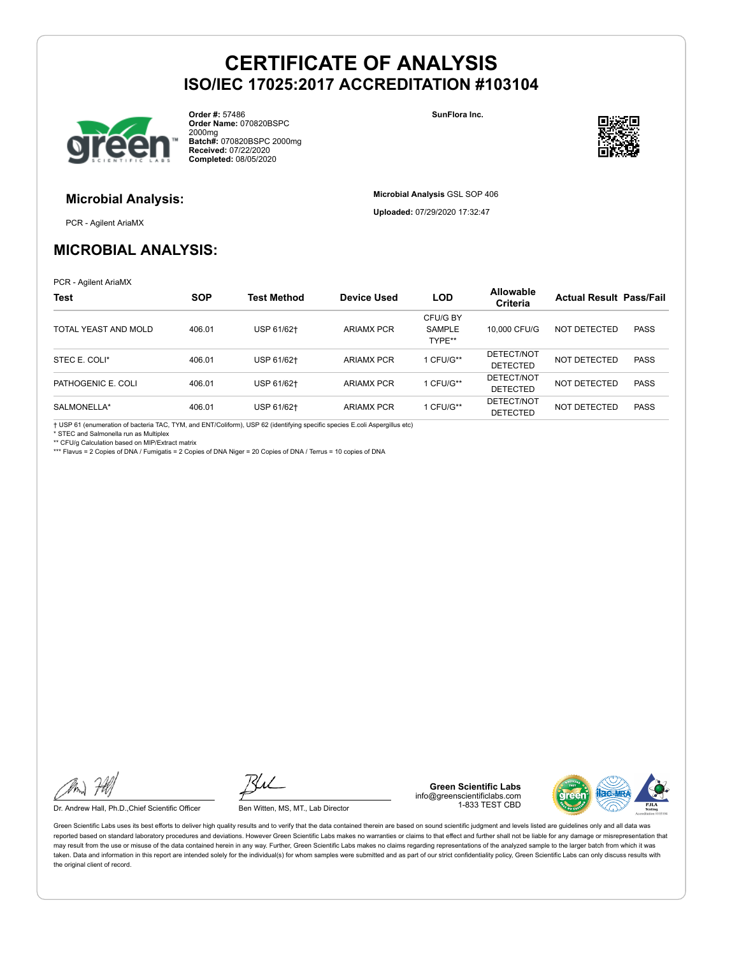

**Order #:** 57486 **Order Name:** 070820BSPC 2000mg **Batch#:** 070820BSPC 2000mg **Received:** 07/22/2020 **Completed:** 08/05/2020

**SunFlora Inc.**

**Microbial Analysis** GSL SOP 406 **Uploaded:** 07/29/2020 17:32:47



### **Microbial Analysis:**

PCR - Agilent AriaMX

### **MICROBIAL ANALYSIS:**

PCR - Agilent AriaMX

| <b>Test</b>          | <b>SOP</b> | <b>Test Method</b> | <b>Device Used</b> | <b>LOD</b>                          | <b>Allowable</b><br><b>Criteria</b> | <b>Actual Result Pass/Fail</b> |             |
|----------------------|------------|--------------------|--------------------|-------------------------------------|-------------------------------------|--------------------------------|-------------|
| TOTAL YEAST AND MOLD | 406.01     | USP 61/62+         | <b>ARIAMX PCR</b>  | CFU/G BY<br><b>SAMPLE</b><br>TYPE** | 10,000 CFU/G                        | NOT DETECTED                   | <b>PASS</b> |
| STEC E. COLI*        | 406.01     | USP 61/62+         | <b>ARIAMX PCR</b>  | 1 CFU/G**                           | DETECT/NOT<br><b>DETECTED</b>       | NOT DETECTED                   | <b>PASS</b> |
| PATHOGENIC E. COLI   | 406.01     | USP 61/62+         | <b>ARIAMX PCR</b>  | 1 CFU/G**                           | DETECT/NOT<br><b>DETECTED</b>       | NOT DETECTED                   | <b>PASS</b> |
| SALMONELLA*          | 406.01     | USP 61/62+         | <b>ARIAMX PCR</b>  | 1 CFU/G**                           | DETECT/NOT<br><b>DETECTED</b>       | NOT DETECTED                   | <b>PASS</b> |

† USP 61 (enumeration of bacteria TAC, TYM, and ENT/Coliform), USP 62 (identifying specific species E.coli Aspergillus etc)

STEC and Salmonella run as Multiplex

\*\* CFU/g Calculation based on MIP/Extract matrix

\*\*\* Flavus = 2 Copies of DNA / Fumigatis = 2 Copies of DNA Niger = 20 Copies of DNA / Terrus = 10 copies of DNA

Dr. Andrew Hall, Ph.D., Chief Scientific Officer Ben Witten, MS, MT., Lab Director

**Green Scientific Labs** info@greenscientificlabs.com 1-833 TEST CBD